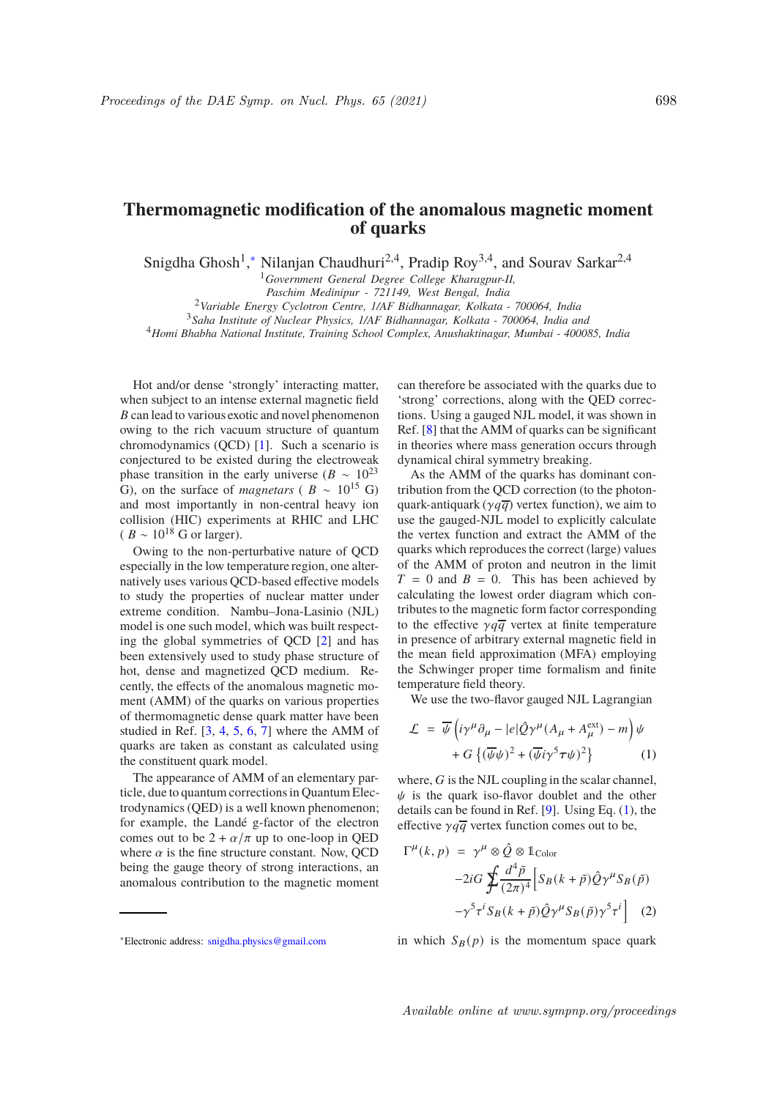## **Thermomagnetic modification of the anomalous magnetic moment of quarks**

Snigdha Ghosh<sup>1</sup>,\* Nilanjan Chaudhuri<sup>2,4</sup>, Pradip Roy<sup>3,4</sup>, and Sourav Sarkar<sup>2,4</sup>

<sup>1</sup>*Government General Degree College Kharagpur-II,*

*Paschim Medinipur - 721149, West Bengal, India*

<sup>2</sup>*Variable Energy Cyclotron Centre, 1/AF Bidhannagar, Kolkata - 700064, India*

<sup>3</sup>*Saha Institute of Nuclear Physics, 1/AF Bidhannagar, Kolkata - 700064, India and*

<sup>4</sup>*Homi Bhabha National Institute, Training School Complex, Anushaktinagar, Mumbai - 400085, India*

Hot and/or dense 'strongly' interacting matter, when subject to an intense external magnetic field  $B$  can lead to various exotic and novel phenomenon owing to the rich vacuum structure of quantum chromodynamics (QCD) [1]. Such a scenario is conjectured to be existed during the electroweak phase transition in the early universe ( $B \sim 10^{23}$ G), on the surface of *magnetars* ( $B \sim 10^{15}$  G) and most importantly in non-central heavy ion collision (HIC) experiments at RHIC and LHC  $(B \sim 10^{18} \text{ G or larger}).$ 

Owing to the non-perturbative nature of QCD especially in the low temperature region, one alternatively uses various QCD-based effective models to study the properties of nuclear matter under extreme condition. Nambu–Jona-Lasinio (NJL) model is one such model, which was built respecting the global symmetries of QCD [2] and has been extensively used to study phase structure of hot, dense and magnetized QCD medium. Recently, the effects of the anomalous magnetic moment (AMM) of the quarks on various properties of thermomagnetic dense quark matter have been studied in Ref. [3, 4, 5, 6, 7] where the AMM of quarks are taken as constant as calculated using the constituent quark model.

The appearance of AMM of an elementary particle, due to quantum corrections in Quantum Electrodynamics (QED) is a well known phenomenon; for example, the Landé g-factor of the electron comes out to be  $2 + \alpha/\pi$  up to one-loop in QED where  $\alpha$  is the fine structure constant. Now, QCD being the gauge theory of strong interactions, an anomalous contribution to the magnetic moment can therefore be associated with the quarks due to 'strong' corrections, along with the QED corrections. Using a gauged NJL model, it was shown in Ref. [8] that the AMM of quarks can be significant in theories where mass generation occurs through dynamical chiral symmetry breaking.

As the AMM of the quarks has dominant contribution from the QCD correction (to the photonquark-antiquark ( $\gamma q \overline{q}$ ) vertex function), we aim to use the gauged-NJL model to explicitly calculate the vertex function and extract the AMM of the quarks which reproduces the correct (large) values of the AMM of proton and neutron in the limit  $T = 0$  and  $B = 0$ . This has been achieved by calculating the lowest order diagram which contributes to the magnetic form factor corresponding to the effective  $\gamma q \overline{q}$  vertex at finite temperature in presence of arbitrary external magnetic field in the mean field approximation (MFA) employing the Schwinger proper time formalism and finite temperature field theory.

We use the two-flavor gauged NJL Lagrangian

$$
\mathcal{L} = \overline{\psi} \left( i \gamma^{\mu} \partial_{\mu} - |e| \hat{Q} \gamma^{\mu} (A_{\mu} + A_{\mu}^{\text{ext}}) - m \right) \psi + G \left\{ (\overline{\psi} \psi)^{2} + (\overline{\psi} i \gamma^{5} \tau \psi)^{2} \right\}
$$
(1)

where,  $G$  is the NJL coupling in the scalar channel,  $\psi$  is the quark iso-flavor doublet and the other details can be found in Ref. [9]. Using Eq. (1), the effective  $\gamma q \overline{q}$  vertex function comes out to be,

$$
\Gamma^{\mu}(k, p) = \gamma^{\mu} \otimes \hat{Q} \otimes \mathbb{1}_{\text{Color}}
$$
  
-2iG  $\oint \frac{d^4 \tilde{p}}{(2\pi)^4} \left[ S_B(k + \tilde{p}) \hat{Q} \gamma^{\mu} S_B(\tilde{p}) -\gamma^5 \tau^i S_B(k + \tilde{p}) \hat{Q} \gamma^{\mu} S_B(\tilde{p}) \gamma^5 \tau^i \right]$  (2)

in which  $S_B(p)$  is the momentum space quark

<sup>∗</sup>Electronic address: snigdha.physics@gmail.com